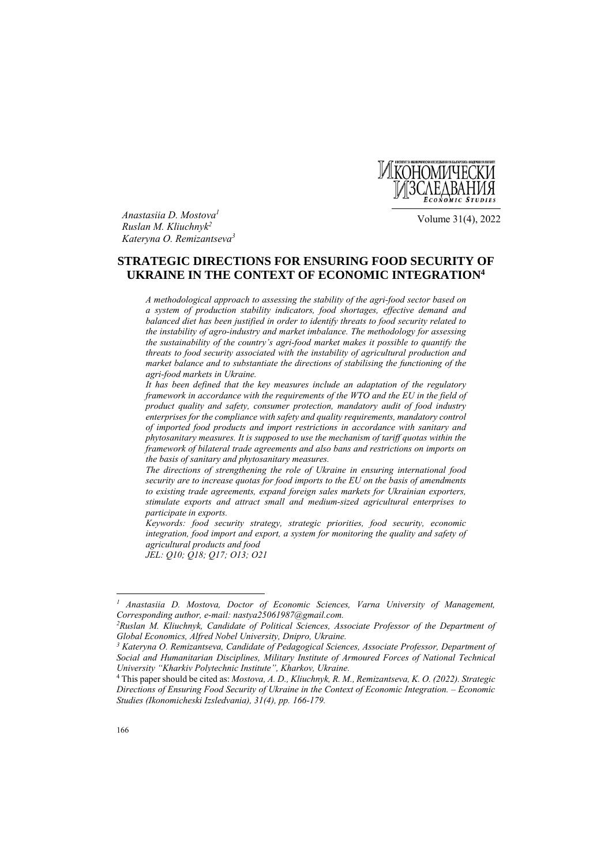

*Anastasiia D. Mostova1 Ruslan M. Kliuchnyk2 Kateryna O. Remizantseva3*

Volume 31(4), 2022

# **STRATEGIC DIRECTIONS FOR ENSURING FOOD SECURITY OF UKRAINE IN THE CONTEXT OF ECONOMIC INTEGRATION4**

*A methodological approach to assessing the stability of the agri-food sector based on a system of production stability indicators, food shortages, effective demand and balanced diet has been justified in order to identify threats to food security related to the instability of agro-industry and market imbalance. The methodology for assessing the sustainability of the country's agri-food market makes it possible to quantify the threats to food security associated with the instability of agricultural production and market balance and to substantiate the directions of stabilising the functioning of the agri-food markets in Ukraine.* 

*It has been defined that the key measures include an adaptation of the regulatory framework in accordance with the requirements of the WTO and the EU in the field of product quality and safety, consumer protection, mandatory audit of food industry enterprises for the compliance with safety and quality requirements, mandatory control of imported food products and import restrictions in accordance with sanitary and phytosanitary measures. It is supposed to use the mechanism of tariff quotas within the framework of bilateral trade agreements and also bans and restrictions on imports on the basis of sanitary and phytosanitary measures.* 

*The directions of strengthening the role of Ukraine in ensuring international food security are to increase quotas for food imports to the EU on the basis of amendments to existing trade agreements, expand foreign sales markets for Ukrainian exporters, stimulate exports and attract small and medium-sized agricultural enterprises to participate in exports.* 

*Keywords: food security strategy, strategic priorities, food security, economic integration, food import and export, a system for monitoring the quality and safety of agricultural products and food* 

*JEL: Q10; Q18; Q17; O13; O21*

 $\overline{a}$ 

*<sup>1</sup> Anastasiia D. Mostova, Doctor of Economic Sciences, Varna University of Management, Corresponding author, e-mail: nastya25061987@gmail.com. 2Ruslan M. Kliuchnyk, Candidate of Political Sciences, Associate Professor of the Department of*  $\ell$ 

*Global Economics, Alfred Nobel University, Dnipro, Ukraine.*<br><sup>3</sup> Kateryna O. Remizantseva, Candidate of Pedagogical Sciences, Associate Professor, Department of

*Social and Humanitarian Disciplines, Military Institute of Armoured Forces of National Technical University "Kharkiv Polytechnic Institute", Kharkov, Ukraine.* 

<sup>4</sup> This paper should be cited as: *Mostova, A. D., Kliuchnyk, R. M., Remizantseva, K. O. (2022). Strategic Directions of Ensuring Food Security of Ukraine in the Context of Economic Integration. – Economic Studies (Ikonomicheski Izsledvania), 31(4), pp. 166-179.*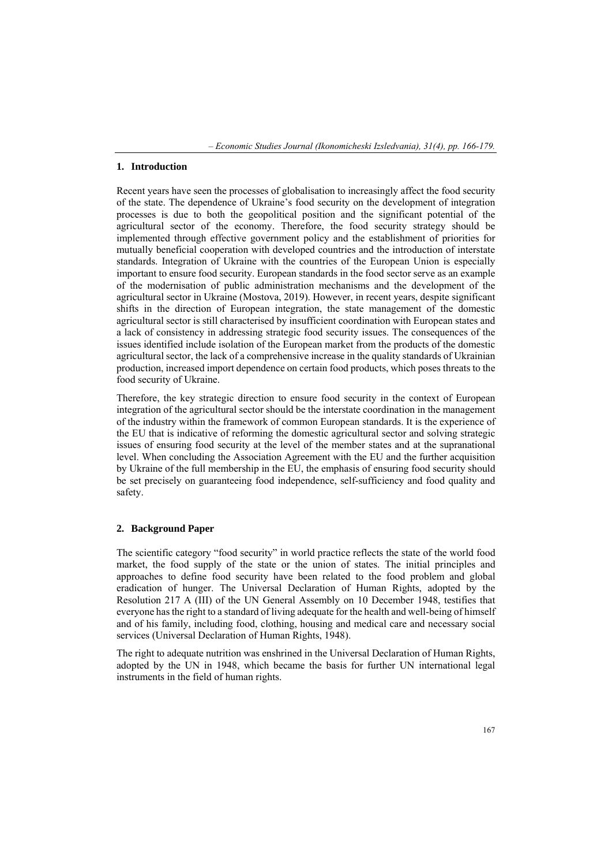*– Economic Studies Journal (Ikonomicheski Izsledvania), 31(4), pp. 166-179.* 

### **1. Introduction**

Recent years have seen the processes of globalisation to increasingly affect the food security of the state. The dependence of Ukraine's food security on the development of integration processes is due to both the geopolitical position and the significant potential of the agricultural sector of the economy. Therefore, the food security strategy should be implemented through effective government policy and the establishment of priorities for mutually beneficial cooperation with developed countries and the introduction of interstate standards. Integration of Ukraine with the countries of the European Union is especially important to ensure food security. European standards in the food sector serve as an example of the modernisation of public administration mechanisms and the development of the agricultural sector in Ukraine (Mostova, 2019). However, in recent years, despite significant shifts in the direction of European integration, the state management of the domestic agricultural sector is still characterised by insufficient coordination with European states and a lack of consistency in addressing strategic food security issues. The consequences of the issues identified include isolation of the European market from the products of the domestic agricultural sector, the lack of a comprehensive increase in the quality standards of Ukrainian production, increased import dependence on certain food products, which poses threats to the food security of Ukraine.

Therefore, the key strategic direction to ensure food security in the context of European integration of the agricultural sector should be the interstate coordination in the management of the industry within the framework of common European standards. It is the experience of the EU that is indicative of reforming the domestic agricultural sector and solving strategic issues of ensuring food security at the level of the member states and at the supranational level. When concluding the Association Agreement with the EU and the further acquisition by Ukraine of the full membership in the EU, the emphasis of ensuring food security should be set precisely on guaranteeing food independence, self-sufficiency and food quality and safety.

### **2. Background Paper**

The scientific category "food security" in world practice reflects the state of the world food market, the food supply of the state or the union of states. The initial principles and approaches to define food security have been related to the food problem and global eradication of hunger. The Universal Declaration of Human Rights, adopted by the Resolution 217 A (III) of the UN General Assembly on 10 December 1948, testifies that everyone has the right to a standard of living adequate for the health and well-being of himself and of his family, including food, clothing, housing and medical care and necessary social services (Universal Declaration of Human Rights, 1948).

The right to adequate nutrition was enshrined in the Universal Declaration of Human Rights, adopted by the UN in 1948, which became the basis for further UN international legal instruments in the field of human rights.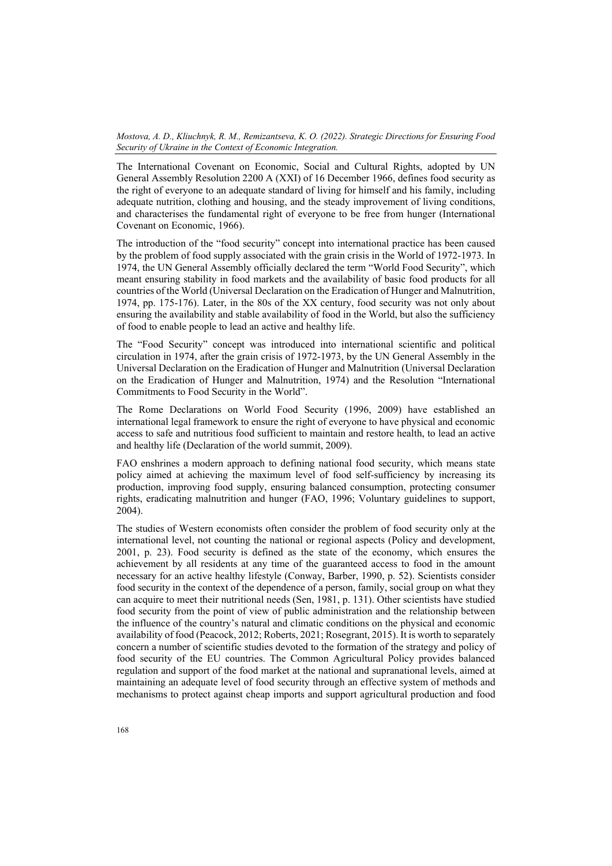The International Covenant on Economic, Social and Cultural Rights, adopted by UN General Assembly Resolution 2200 A (XXI) of 16 December 1966, defines food security as the right of everyone to an adequate standard of living for himself and his family, including adequate nutrition, clothing and housing, and the steady improvement of living conditions, and characterises the fundamental right of everyone to be free from hunger (International Covenant on Economic, 1966).

The introduction of the "food security" concept into international practice has been caused by the problem of food supply associated with the grain crisis in the World of 1972-1973. In 1974, the UN General Assembly officially declared the term "World Food Security", which meant ensuring stability in food markets and the availability of basic food products for all countries of the World (Universal Declaration on the Eradication of Hunger and Malnutrition, 1974, pp. 175-176). Later, in the 80s of the XX century, food security was not only about ensuring the availability and stable availability of food in the World, but also the sufficiency of food to enable people to lead an active and healthy life.

The "Food Security" concept was introduced into international scientific and political circulation in 1974, after the grain crisis of 1972-1973, by the UN General Assembly in the Universal Declaration on the Eradication of Hunger and Malnutrition (Universal Declaration on the Eradication of Hunger and Malnutrition, 1974) and the Resolution "International Commitments to Food Security in the World".

The Rome Declarations on World Food Security (1996, 2009) have established an international legal framework to ensure the right of everyone to have physical and economic access to safe and nutritious food sufficient to maintain and restore health, to lead an active and healthy life (Declaration of the world summit, 2009).

FAO enshrines a modern approach to defining national food security, which means state policy aimed at achieving the maximum level of food self-sufficiency by increasing its production, improving food supply, ensuring balanced consumption, protecting consumer rights, eradicating malnutrition and hunger (FAO, 1996; Voluntary guidelines to support, 2004).

The studies of Western economists often consider the problem of food security only at the international level, not counting the national or regional aspects (Policy and development, 2001, p. 23). Food security is defined as the state of the economy, which ensures the achievement by all residents at any time of the guaranteed access to food in the amount necessary for an active healthy lifestyle (Conway, Barber, 1990, p. 52). Scientists consider food security in the context of the dependence of a person, family, social group on what they can acquire to meet their nutritional needs (Sen, 1981, p. 131). Other scientists have studied food security from the point of view of public administration and the relationship between the influence of the country's natural and climatic conditions on the physical and economic availability of food (Peacock, 2012; Roberts, 2021; Rosegrant, 2015). It is worth to separately concern a number of scientific studies devoted to the formation of the strategy and policy of food security of the EU countries. The Common Agricultural Policy provides balanced regulation and support of the food market at the national and supranational levels, aimed at maintaining an adequate level of food security through an effective system of methods and mechanisms to protect against cheap imports and support agricultural production and food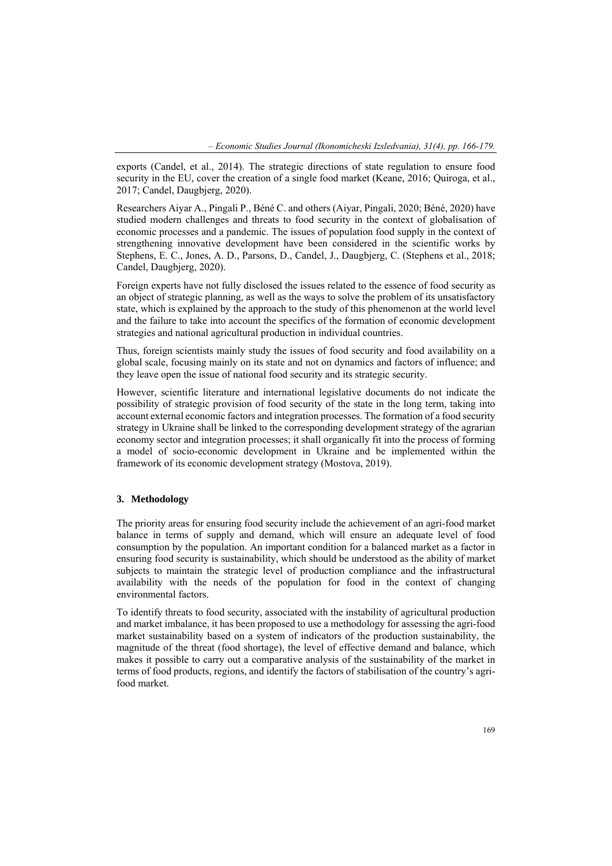exports (Candel, et al., 2014). The strategic directions of state regulation to ensure food security in the EU, cover the creation of a single food market (Keane, 2016; Quiroga, et al., 2017; Candel, Daugbjerg, 2020).

Researchers Aiyar A., Pingali P., Béné C. and others (Aiyar, Pingali, 2020; Béné, 2020) have studied modern challenges and threats to food security in the context of globalisation of economic processes and a pandemic. The issues of population food supply in the context of strengthening innovative development have been considered in the scientific works by Stephens, E. C., Jones, A. D., Parsons, D., Candel, J., Daugbjerg, C. (Stephens et al., 2018; Candel, Daugbjerg, 2020).

Foreign experts have not fully disclosed the issues related to the essence of food security as an object of strategic planning, as well as the ways to solve the problem of its unsatisfactory state, which is explained by the approach to the study of this phenomenon at the world level and the failure to take into account the specifics of the formation of economic development strategies and national agricultural production in individual countries.

Thus, foreign scientists mainly study the issues of food security and food availability on a global scale, focusing mainly on its state and not on dynamics and factors of influence; and they leave open the issue of national food security and its strategic security.

However, scientific literature and international legislative documents do not indicate the possibility of strategic provision of food security of the state in the long term, taking into account external economic factors and integration processes. The formation of a food security strategy in Ukraine shall be linked to the corresponding development strategy of the agrarian economy sector and integration processes; it shall organically fit into the process of forming a model of socio-economic development in Ukraine and be implemented within the framework of its economic development strategy (Mostova, 2019).

## **3. Methodology**

The priority areas for ensuring food security include the achievement of an agri-food market balance in terms of supply and demand, which will ensure an adequate level of food consumption by the population. An important condition for a balanced market as a factor in ensuring food security is sustainability, which should be understood as the ability of market subjects to maintain the strategic level of production compliance and the infrastructural availability with the needs of the population for food in the context of changing environmental factors.

To identify threats to food security, associated with the instability of agricultural production and market imbalance, it has been proposed to use a methodology for assessing the agri-food market sustainability based on a system of indicators of the production sustainability, the magnitude of the threat (food shortage), the level of effective demand and balance, which makes it possible to carry out a comparative analysis of the sustainability of the market in terms of food products, regions, and identify the factors of stabilisation of the country's agrifood market.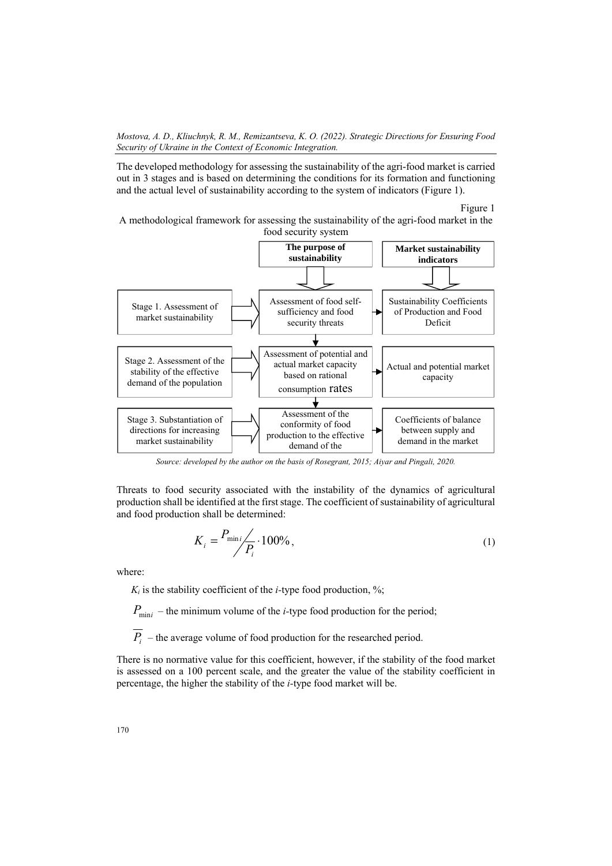The developed methodology for assessing the sustainability of the agri-food market is carried out in 3 stages and is based on determining the conditions for its formation and functioning and the actual level of sustainability according to the system of indicators (Figure 1).

Figure 1

A methodological framework for assessing the sustainability of the agri-food market in the food security system



*Source: developed by the author on the basis of Rosegrant, 2015; Aiyar and Pingali, 2020.* 

Threats to food security associated with the instability of the dynamics of agricultural production shall be identified at the first stage. The coefficient of sustainability of agricultural and food production shall be determined:

$$
K_i = \frac{P_{\min i}}{P_i} \cdot 100\%,\tag{1}
$$

where:

 $K_i$  is the stability coefficient of the *i*-type food production, %;

 $P_{\text{min}i}$  – the minimum volume of the *i*-type food production for the period;

 $\overline{P_i}$  – the average volume of food production for the researched period.

There is no normative value for this coefficient, however, if the stability of the food market is assessed on a 100 percent scale, and the greater the value of the stability coefficient in percentage, the higher the stability of the *i-*type food market will be.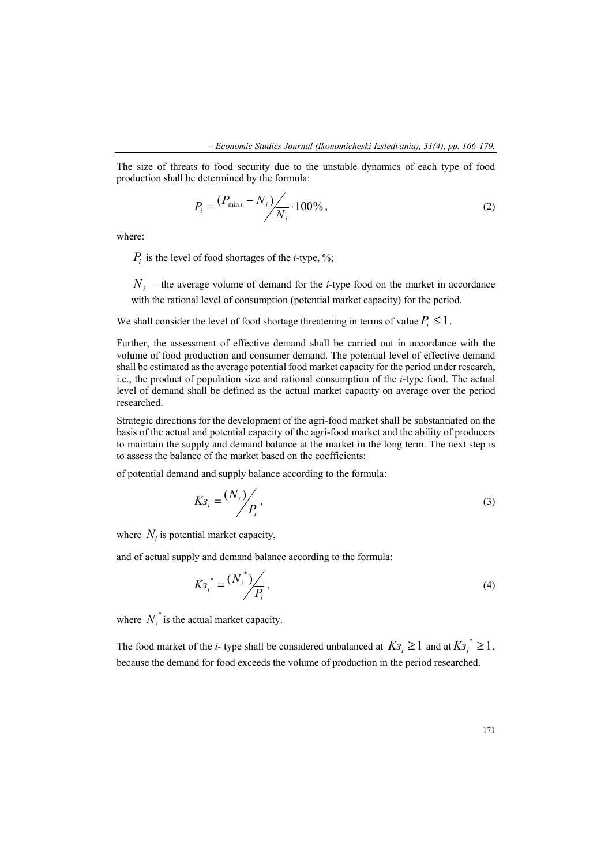The size of threats to food security due to the unstable dynamics of each type of food production shall be determined by the formula:

$$
P_i = \frac{(P_{\min i} - \overline{N_i})}{N_i} \cdot 100\%,\tag{2}
$$

where:

 $P_i$  is the level of food shortages of the *i*-type, %;

 $\overline{N_i}$  – the average volume of demand for the *i*-type food on the market in accordance with the rational level of consumption (potential market capacity) for the period.

We shall consider the level of food shortage threatening in terms of value  $P_i \leq 1$ .

Further, the assessment of effective demand shall be carried out in accordance with the volume of food production and consumer demand. The potential level of effective demand shall be estimated as the average potential food market capacity for the period under research, i.e., the product of population size and rational consumption of the *і*-type food. The actual level of demand shall be defined as the actual market capacity on average over the period researched.

Strategic directions for the development of the agri-food market shall be substantiated on the basis of the actual and potential capacity of the agri-food market and the ability of producers to maintain the supply and demand balance at the market in the long term. The next step is to assess the balance of the market based on the coefficients:

of potential demand and supply balance according to the formula:

$$
K3_i = \frac{(N_i)}{P_i},\tag{3}
$$

where  $N_i$  is potential market capacity,

and of actual supply and demand balance according to the formula:

$$
Ks_i^* = \frac{(N_i^*)}{P_i},
$$
 (4)

where  $N_i^*$  is the actual market capacity.

The food market of the *i*- type shall be considered unbalanced at  $K3_i \geq 1$  and at  $K3_i \geq 1$ , because the demand for food exceeds the volume of production in the period researched.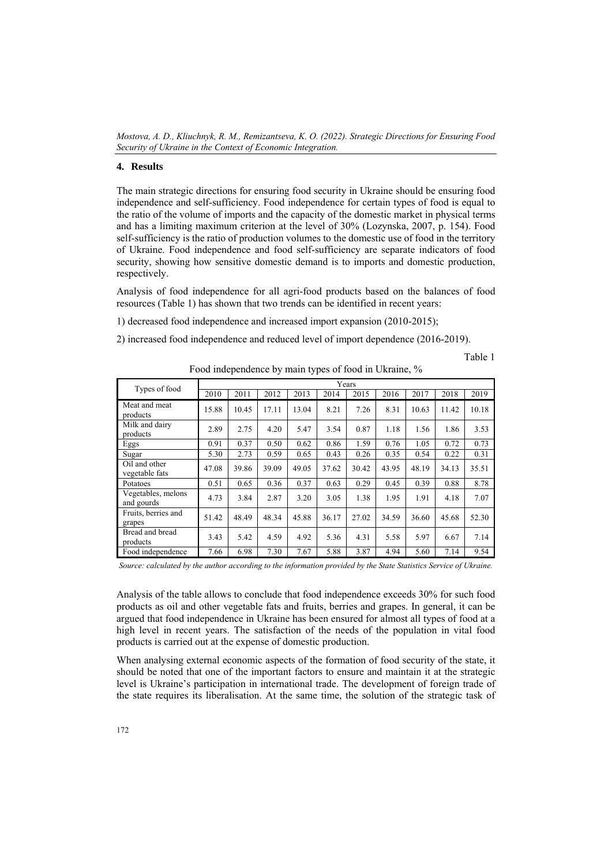#### **4. Results**

The main strategic directions for ensuring food security in Ukraine should be ensuring food independence and self-sufficiency. Food independence for certain types of food is equal to the ratio of the volume of imports and the capacity of the domestic market in physical terms and has a limiting maximum criterion at the level of 30% (Lozynska, 2007, p. 154). Food self-sufficiency is the ratio of production volumes to the domestic use of food in the territory of Ukraine. Food independence and food self-sufficiency are separate indicators of food security, showing how sensitive domestic demand is to imports and domestic production, respectively.

Analysis of food independence for all agri-food products based on the balances of food resources (Table 1) has shown that two trends can be identified in recent years:

1) decreased food independence and increased import expansion (2010-2015);

2) increased food independence and reduced level of import dependence (2016-2019).

Table 1

|                                  | Years |       |       |       |       |       |       |       |       |       |
|----------------------------------|-------|-------|-------|-------|-------|-------|-------|-------|-------|-------|
| Types of food                    | 2010  | 2011  | 2012  | 2013  | 2014  | 2015  | 2016  | 2017  | 2018  | 2019  |
| Meat and meat<br>products        | 15.88 | 10.45 | 17.11 | 13.04 | 8.21  | 7.26  | 8.31  | 10.63 | 11.42 | 10.18 |
| Milk and dairy<br>products       | 2.89  | 2.75  | 4.20  | 5.47  | 3.54  | 0.87  | 1.18  | 1.56  | 1.86  | 3.53  |
| Eggs                             | 0.91  | 0.37  | 0.50  | 0.62  | 0.86  | 1.59  | 0.76  | 1.05  | 0.72  | 0.73  |
| Sugar                            | 5.30  | 2.73  | 0.59  | 0.65  | 0.43  | 0.26  | 0.35  | 0.54  | 0.22  | 0.31  |
| Oil and other<br>vegetable fats  | 47.08 | 39.86 | 39.09 | 49.05 | 37.62 | 30.42 | 43.95 | 48.19 | 34.13 | 35.51 |
| Potatoes                         | 0.51  | 0.65  | 0.36  | 0.37  | 0.63  | 0.29  | 0.45  | 0.39  | 0.88  | 8.78  |
| Vegetables, melons<br>and gourds | 4.73  | 3.84  | 2.87  | 3.20  | 3.05  | 1.38  | 1.95  | 1.91  | 4.18  | 7.07  |
| Fruits, berries and<br>grapes    | 51.42 | 48.49 | 48.34 | 45.88 | 36.17 | 27.02 | 34.59 | 36.60 | 45.68 | 52.30 |
| Bread and bread<br>products      | 3.43  | 5.42  | 4.59  | 4.92  | 5.36  | 4.31  | 5.58  | 5.97  | 6.67  | 7.14  |
| Food independence                | 7.66  | 6.98  | 7.30  | 7.67  | 5.88  | 3.87  | 4.94  | 5.60  | 7.14  | 9.54  |

Food independence by main types of food in Ukraine, %

*Source: calculated by the author according to the information provided by the State Statistics Service of Ukraine.* 

Analysis of the table allows to conclude that food independence exceeds 30% for such food products as oil and other vegetable fats and fruits, berries and grapes. In general, it can be argued that food independence in Ukraine has been ensured for almost all types of food at a high level in recent years. The satisfaction of the needs of the population in vital food products is carried out at the expense of domestic production.

When analysing external economic aspects of the formation of food security of the state, it should be noted that one of the important factors to ensure and maintain it at the strategic level is Ukraine's participation in international trade. The development of foreign trade of the state requires its liberalisation. At the same time, the solution of the strategic task of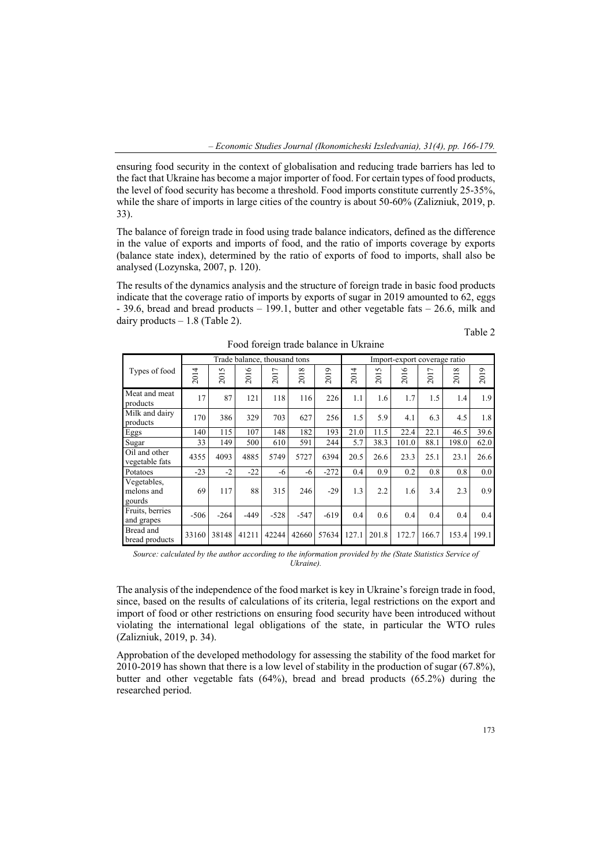ensuring food security in the context of globalisation and reducing trade barriers has led to the fact that Ukraine has become a major importer of food. For certain types of food products, the level of food security has become a threshold. Food imports constitute currently 25-35%, while the share of imports in large cities of the country is about 50-60% (Zalizniuk, 2019, p. 33).

The balance of foreign trade in food using trade balance indicators, defined as the difference in the value of exports and imports of food, and the ratio of imports coverage by exports (balance state index), determined by the ratio of exports of food to imports, shall also be analysed (Lozynska, 2007, p. 120).

The results of the dynamics analysis and the structure of foreign trade in basic food products indicate that the coverage ratio of imports by exports of sugar in 2019 amounted to 62, eggs - 39.6, bread and bread products – 199.1, butter and other vegetable fats – 26.6, milk and dairy products  $-1.8$  (Table 2).

| ٠ |  |
|---|--|

|                                     | Trade balance, thousand tons |          |                |                        |                  |        | Import-export coverage ratio |               |                        |          |       |                  |
|-------------------------------------|------------------------------|----------|----------------|------------------------|------------------|--------|------------------------------|---------------|------------------------|----------|-------|------------------|
| Types of food                       | 2014                         | 5<br>201 | $\circ$<br>201 | $\overline{ }$<br>201' | $\infty$<br>2013 | 2019   | 014<br>$\sim$                | $\sim$<br>201 | $\circ$<br>ā<br>$\sim$ | ↽<br>201 | 2018  | 2019             |
| Meat and meat<br>products           | 17                           | 87       | 121            | 118                    | 116              | 226    | 1.1                          | 1.6           | 1.7                    | 1.5      | 1.4   | 1.9              |
| Milk and dairy<br>products          | 170                          | 386      | 329            | 703                    | 627              | 256    | 1.5                          | 5.9           | 4.1                    | 6.3      | 4.5   | 1.8              |
| Eggs                                | 140                          | 115      | 107            | 148                    | 182              | 193    | 21.0                         | 11.5          | 22.4                   | 22.1     | 46.5  | 39.6             |
| Sugar                               | 33                           | 149      | 500            | 610                    | 591              | 244    | 5.7                          | 38.3          | 101.0                  | 88.1     | 198.0 | 62.0             |
| Oil and other<br>vegetable fats     | 4355                         | 4093     | 4885           | 5749                   | 5727             | 6394   | 20.5                         | 26.6          | 23.3                   | 25.1     | 23.1  | 26.6             |
| Potatoes                            | $-23$                        | $-2$     | $-22$          | -6                     | -6               | $-272$ | 0.4                          | 0.9           | 0.2                    | 0.8      | 0.8   | 0.0 <sub>1</sub> |
| Vegetables,<br>melons and<br>gourds | 69                           | 117      | 88             | 315                    | 246              | $-29$  | 1.3                          | 2.2           | 1.6                    | 3.4      | 2.3   | 0.9              |
| Fruits, berries<br>and grapes       | $-506$                       | $-264$   | $-449$         | $-528$                 | $-547$           | $-619$ | 0.4                          | 0.6           | 0.4                    | 0.4      | 0.4   | 0.4              |
| Bread and<br>bread products         | 33160                        | 38148    | 41211          | 42244                  | 42660            | 57634  | 127.1                        | 201.8         | 172.7                  | 166.7    | 153.4 | 199.1            |

Food foreign trade balance in Ukraine

*Source: calculated by the author according to the information provided by the (State Statistics Service of Ukraine).* 

The analysis of the independence of the food market is key in Ukraine's foreign trade in food, since, based on the results of calculations of its criteria, legal restrictions on the export and import of food or other restrictions on ensuring food security have been introduced without violating the international legal obligations of the state, in particular the WTO rules (Zalizniuk, 2019, p. 34).

Approbation of the developed methodology for assessing the stability of the food market for 2010-2019 has shown that there is a low level of stability in the production of sugar (67.8%), butter and other vegetable fats (64%), bread and bread products (65.2%) during the researched period.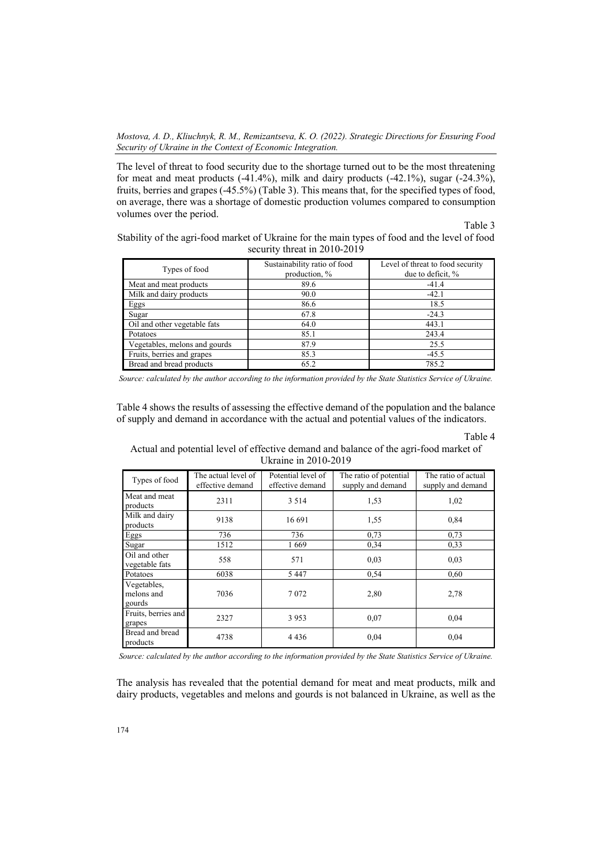The level of threat to food security due to the shortage turned out to be the most threatening for meat and meat products  $(-41.4\%)$ , milk and dairy products  $(-42.1\%)$ , sugar  $(-24.3\%)$ , fruits, berries and grapes (-45.5%) (Table 3). This means that, for the specified types of food, on average, there was a shortage of domestic production volumes compared to consumption volumes over the period.

Table 3

Stability of the agri-food market of Ukraine for the main types of food and the level of food security threat in 2010-2019

| Types of food                 | Sustainability ratio of food<br>production, % | Level of threat to food security<br>due to deficit, % |
|-------------------------------|-----------------------------------------------|-------------------------------------------------------|
| Meat and meat products        | 89.6                                          | $-41.4$                                               |
| Milk and dairy products       | 90.0                                          | $-42.1$                                               |
| Eggs                          | 86.6                                          | 18.5                                                  |
| Sugar                         | 67.8                                          | $-24.3$                                               |
| Oil and other vegetable fats  | 64.0                                          | 443.1                                                 |
| Potatoes                      | 85.1                                          | 243.4                                                 |
| Vegetables, melons and gourds | 87.9                                          | 25.5                                                  |
| Fruits, berries and grapes    | 85.3                                          | $-45.5$                                               |
| Bread and bread products      | 65.2                                          | 785.2                                                 |

*Source: calculated by the author according to the information provided by the State Statistics Service of Ukraine.* 

Table 4 shows the results of assessing the effective demand of the population and the balance of supply and demand in accordance with the actual and potential values of the indicators.

#### Table 4

Actual and potential level of effective demand and balance of the agri-food market of Ukraine in 2010-2019

| Types of food                       | The actual level of<br>effective demand | Potential level of<br>effective demand | The ratio of potential<br>supply and demand | The ratio of actual<br>supply and demand |
|-------------------------------------|-----------------------------------------|----------------------------------------|---------------------------------------------|------------------------------------------|
| Meat and meat<br>products           | 2311                                    | 3 5 1 4                                | 1,53                                        | 1,02                                     |
| Milk and dairy<br>products          | 9138                                    | 16 691                                 | 1,55                                        | 0,84                                     |
| Eggs                                | 736                                     | 736                                    | 0.73                                        | 0.73                                     |
| Sugar                               | 1512                                    | 1669                                   | 0,34                                        | 0,33                                     |
| Oil and other<br>vegetable fats     | 558                                     | 571                                    | 0,03                                        | 0,03                                     |
| Potatoes                            | 6038                                    | 5447                                   | 0.54                                        | 0.60                                     |
| Vegetables,<br>melons and<br>gourds | 7036                                    | 7072                                   | 2,80                                        | 2,78                                     |
| Fruits, berries and<br>grapes       | 2327                                    | 3953                                   | 0.07                                        | 0.04                                     |
| Bread and bread<br>products         | 4738                                    | 4 4 3 6                                | 0.04                                        | 0.04                                     |

*Source: calculated by the author according to the information provided by the State Statistics Service of Ukraine.* 

The analysis has revealed that the potential demand for meat and meat products, milk and dairy products, vegetables and melons and gourds is not balanced in Ukraine, as well as the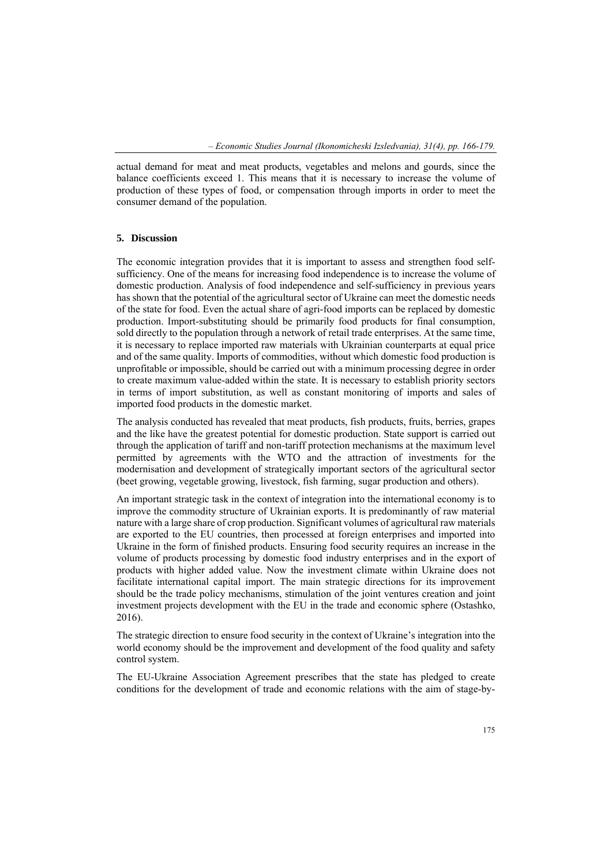actual demand for meat and meat products, vegetables and melons and gourds, since the balance coefficients exceed 1. This means that it is necessary to increase the volume of production of these types of food, or compensation through imports in order to meet the consumer demand of the population.

#### **5. Discussion**

The economic integration provides that it is important to assess and strengthen food selfsufficiency. One of the means for increasing food independence is to increase the volume of domestic production. Analysis of food independence and self-sufficiency in previous years has shown that the potential of the agricultural sector of Ukraine can meet the domestic needs of the state for food. Even the actual share of agri-food imports can be replaced by domestic production. Import-substituting should be primarily food products for final consumption, sold directly to the population through a network of retail trade enterprises. At the same time, it is necessary to replace imported raw materials with Ukrainian counterparts at equal price and of the same quality. Imports of commodities, without which domestic food production is unprofitable or impossible, should be carried out with a minimum processing degree in order to create maximum value-added within the state. It is necessary to establish priority sectors in terms of import substitution, as well as constant monitoring of imports and sales of imported food products in the domestic market.

The analysis conducted has revealed that meat products, fish products, fruits, berries, grapes and the like have the greatest potential for domestic production. State support is carried out through the application of tariff and non-tariff protection mechanisms at the maximum level permitted by agreements with the WTO and the attraction of investments for the modernisation and development of strategically important sectors of the agricultural sector (beet growing, vegetable growing, livestock, fish farming, sugar production and others).

An important strategic task in the context of integration into the international economy is to improve the commodity structure of Ukrainian exports. It is predominantly of raw material nature with a large share of crop production. Significant volumes of agricultural raw materials are exported to the EU countries, then processed at foreign enterprises and imported into Ukraine in the form of finished products. Ensuring food security requires an increase in the volume of products processing by domestic food industry enterprises and in the export of products with higher added value. Now the investment climate within Ukraine does not facilitate international capital import. The main strategic directions for its improvement should be the trade policy mechanisms, stimulation of the joint ventures creation and joint investment projects development with the EU in the trade and economic sphere (Ostashko, 2016).

The strategic direction to ensure food security in the context of Ukraine's integration into the world economy should be the improvement and development of the food quality and safety control system.

The EU-Ukraine Association Agreement prescribes that the state has pledged to create conditions for the development of trade and economic relations with the aim of stage-by-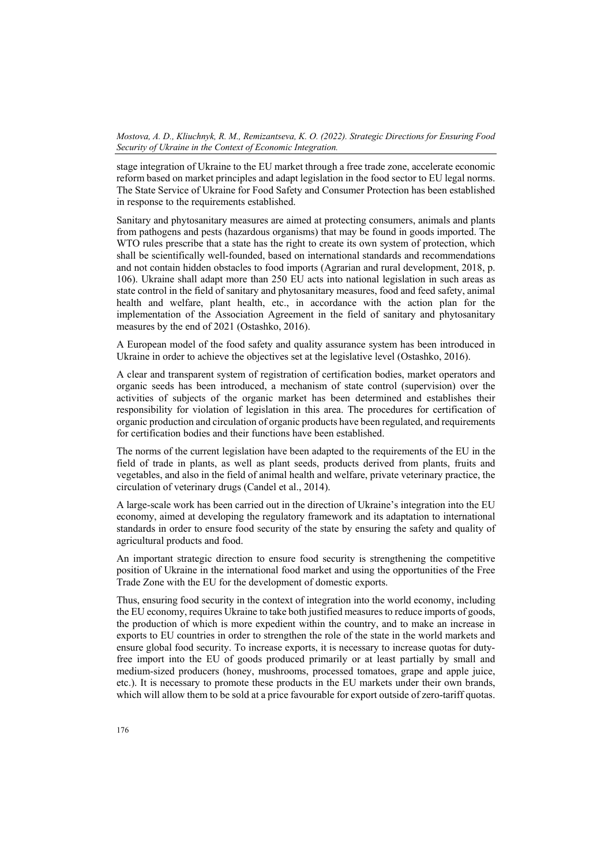stage integration of Ukraine to the EU market through a free trade zone, accelerate economic reform based on market principles and adapt legislation in the food sector to EU legal norms. The State Service of Ukraine for Food Safety and Consumer Protection has been established in response to the requirements established.

Sanitary and phytosanitary measures are aimed at protecting consumers, animals and plants from pathogens and pests (hazardous organisms) that may be found in goods imported. The WTO rules prescribe that a state has the right to create its own system of protection, which shall be scientifically well-founded, based on international standards and recommendations and not contain hidden obstacles to food imports (Agrarian and rural development, 2018, p. 106). Ukraine shall adapt more than 250 EU acts into national legislation in such areas as state control in the field of sanitary and phytosanitary measures, food and feed safety, animal health and welfare, plant health, etc., in accordance with the action plan for the implementation of the Association Agreement in the field of sanitary and phytosanitary measures by the end of 2021 (Ostashko, 2016).

A European model of the food safety and quality assurance system has been introduced in Ukraine in order to achieve the objectives set at the legislative level (Ostashko, 2016).

A clear and transparent system of registration of certification bodies, market operators and organic seeds has been introduced, a mechanism of state control (supervision) over the activities of subjects of the organic market has been determined and establishes their responsibility for violation of legislation in this area. The procedures for certification of organic production and circulation of organic products have been regulated, and requirements for certification bodies and their functions have been established.

The norms of the current legislation have been adapted to the requirements of the EU in the field of trade in plants, as well as plant seeds, products derived from plants, fruits and vegetables, and also in the field of animal health and welfare, private veterinary practice, the circulation of veterinary drugs (Candel et al., 2014).

A large-scale work has been carried out in the direction of Ukraine's integration into the EU economy, aimed at developing the regulatory framework and its adaptation to international standards in order to ensure food security of the state by ensuring the safety and quality of agricultural products and food.

An important strategic direction to ensure food security is strengthening the competitive position of Ukraine in the international food market and using the opportunities of the Free Trade Zone with the EU for the development of domestic exports.

Thus, ensuring food security in the context of integration into the world economy, including the EU economy, requires Ukraine to take both justified measures to reduce imports of goods, the production of which is more expedient within the country, and to make an increase in exports to EU countries in order to strengthen the role of the state in the world markets and ensure global food security. To increase exports, it is necessary to increase quotas for dutyfree import into the EU of goods produced primarily or at least partially by small and medium-sized producers (honey, mushrooms, processed tomatoes, grape and apple juice, etc.). It is necessary to promote these products in the EU markets under their own brands, which will allow them to be sold at a price favourable for export outside of zero-tariff quotas.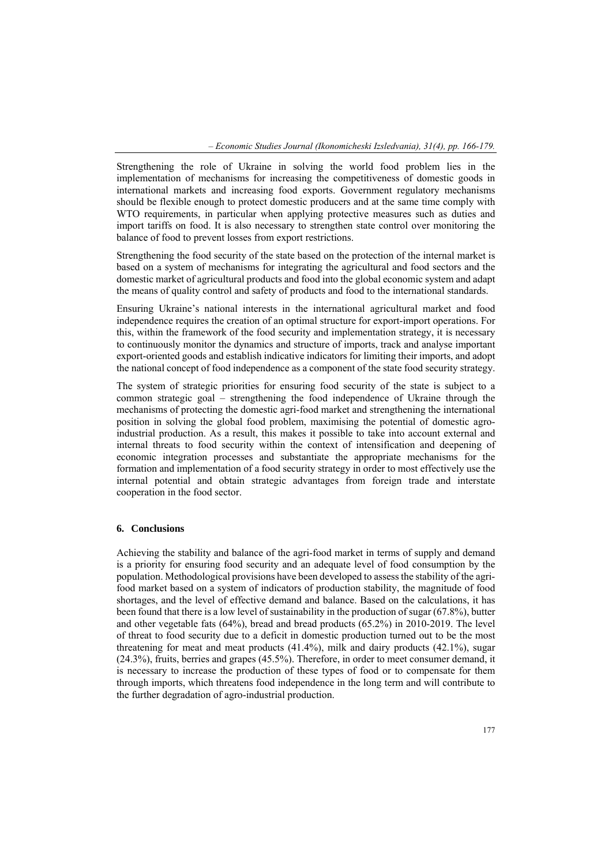*– Economic Studies Journal (Ikonomicheski Izsledvania), 31(4), pp. 166-179.* 

Strengthening the role of Ukraine in solving the world food problem lies in the implementation of mechanisms for increasing the competitiveness of domestic goods in international markets and increasing food exports. Government regulatory mechanisms should be flexible enough to protect domestic producers and at the same time comply with WTO requirements, in particular when applying protective measures such as duties and import tariffs on food. It is also necessary to strengthen state control over monitoring the balance of food to prevent losses from export restrictions.

Strengthening the food security of the state based on the protection of the internal market is based on a system of mechanisms for integrating the agricultural and food sectors and the domestic market of agricultural products and food into the global economic system and adapt the means of quality control and safety of products and food to the international standards.

Ensuring Ukraine's national interests in the international agricultural market and food independence requires the creation of an optimal structure for export-import operations. For this, within the framework of the food security and implementation strategy, it is necessary to continuously monitor the dynamics and structure of imports, track and analyse important export-oriented goods and establish indicative indicators for limiting their imports, and adopt the national concept of food independence as a component of the state food security strategy.

The system of strategic priorities for ensuring food security of the state is subject to a common strategic goal – strengthening the food independence of Ukraine through the mechanisms of protecting the domestic agri-food market and strengthening the international position in solving the global food problem, maximising the potential of domestic agroindustrial production. As a result, this makes it possible to take into account external and internal threats to food security within the context of intensification and deepening of economic integration processes and substantiate the appropriate mechanisms for the formation and implementation of a food security strategy in order to most effectively use the internal potential and obtain strategic advantages from foreign trade and interstate cooperation in the food sector.

### **6. Conclusions**

Achieving the stability and balance of the agri-food market in terms of supply and demand is a priority for ensuring food security and an adequate level of food consumption by the population. Methodological provisions have been developed to assess the stability of the agrifood market based on a system of indicators of production stability, the magnitude of food shortages, and the level of effective demand and balance. Based on the calculations, it has been found that there is a low level of sustainability in the production of sugar (67.8%), butter and other vegetable fats (64%), bread and bread products (65.2%) in 2010-2019. The level of threat to food security due to a deficit in domestic production turned out to be the most threatening for meat and meat products (41.4%), milk and dairy products (42.1%), sugar (24.3%), fruits, berries and grapes (45.5%). Therefore, in order to meet consumer demand, it is necessary to increase the production of these types of food or to compensate for them through imports, which threatens food independence in the long term and will contribute to the further degradation of agro-industrial production.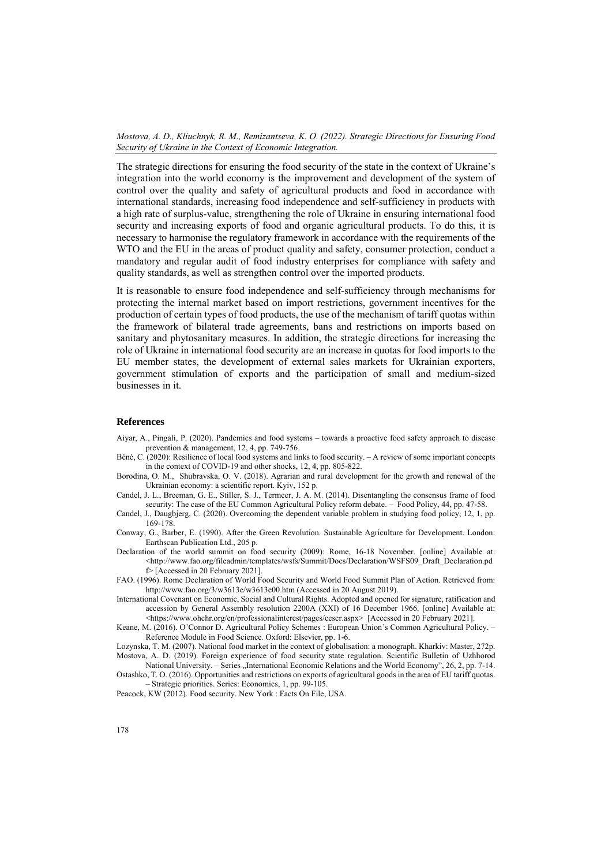The strategic directions for ensuring the food security of the state in the context of Ukraine's integration into the world economy is the improvement and development of the system of control over the quality and safety of agricultural products and food in accordance with international standards, increasing food independence and self-sufficiency in products with a high rate of surplus-value, strengthening the role of Ukraine in ensuring international food security and increasing exports of food and organic agricultural products. To do this, it is necessary to harmonise the regulatory framework in accordance with the requirements of the WTO and the EU in the areas of product quality and safety, consumer protection, conduct a mandatory and regular audit of food industry enterprises for compliance with safety and quality standards, as well as strengthen control over the imported products.

It is reasonable to ensure food independence and self-sufficiency through mechanisms for protecting the internal market based on import restrictions, government incentives for the production of certain types of food products, the use of the mechanism of tariff quotas within the framework of bilateral trade agreements, bans and restrictions on imports based on sanitary and phytosanitary measures. In addition, the strategic directions for increasing the role of Ukraine in international food security are an increase in quotas for food imports to the EU member states, the development of external sales markets for Ukrainian exporters, government stimulation of exports and the participation of small and medium-sized businesses in it.

#### **References**

- Aiyar, A., Pingali, P. (2020). Pandemics and food systems towards a proactive food safety approach to disease prevention & management, 12, 4, pp. 749-756.
- Béné, C. (2020): Resilience of local food systems and links to food security. A review of some important concepts in the context of COVID-19 and other shocks, 12, 4, pp. 805-822.
- Borodina, O. M., Shubravska, O. V. (2018). Agrarian and rural development for the growth and renewal of the Ukrainian economy: a scientific report. Kyiv, 152 p.
- Candel, J. L., Breeman, G. E., Stiller, S. J., Termeer, J. A. M. (2014). Disentangling the consensus frame of food security: The case of the EU Common Agricultural Policy reform debate. – Food Policy, 44, pp. 47-58.
- Candel, J., Daugbjerg, C. (2020). Overcoming the dependent variable problem in studying food policy, 12, 1, pp. 169-178.
- Conway, G., Barber, E. (1990). After the Green Revolution. Sustainable Agriculture for Development. London: Earthscan Publication Ltd., 205 р.
- Declaration of the world summit on food security (2009): Rome, 16-18 November. [online] Available at: <http://www.fao.org/fileadmin/templates/wsfs/Summit/Docs/Declaration/WSFS09\_Draft\_Declaration.pd f> [Accessed in 20 February 2021].
- FAO. (1996). Rome Declaration of World Food Security and World Food Summit Plan of Action. Retrieved from: http://www.fao.org/3/w3613e/w3613e00.htm (Accessed in 20 August 2019).
- International Covenant on Economic, Social and Cultural Rights. Adopted and opened for signature, ratification and accession by General Assembly resolution 2200A (XXI) of 16 December 1966. [online] Available at: <https://www.ohchr.org/en/professionalinterest/pages/cescr.aspx> [Accessed in 20 February 2021].
- Keane, M. (2016). O'Connor D. Agricultural Policy Schemes : European Union's Common Agricultural Policy. Reference Module in Food Science*.* Oxford: Elsevier, pp. 1-6.

Lozynska, T. M. (2007). National food market in the context of globalisation: a monograph. Kharkiv: Master, 272p. Mostova, A. D. (2019). Foreign experience of food security state regulation. Scientific Bulletin of Uzhhorod

National University. – Series "International Economic Relations and the World Economy", 26, 2, pp. 7-14. Ostashko, T. O. (2016). Opportunities and restrictions on exports of agricultural goods in the area of EU tariff quotas. – Strategic priorities. Series: Economics, 1, pp. 99-105.

Peacock, KW (2012). Food security. New York : Facts On File, USA.